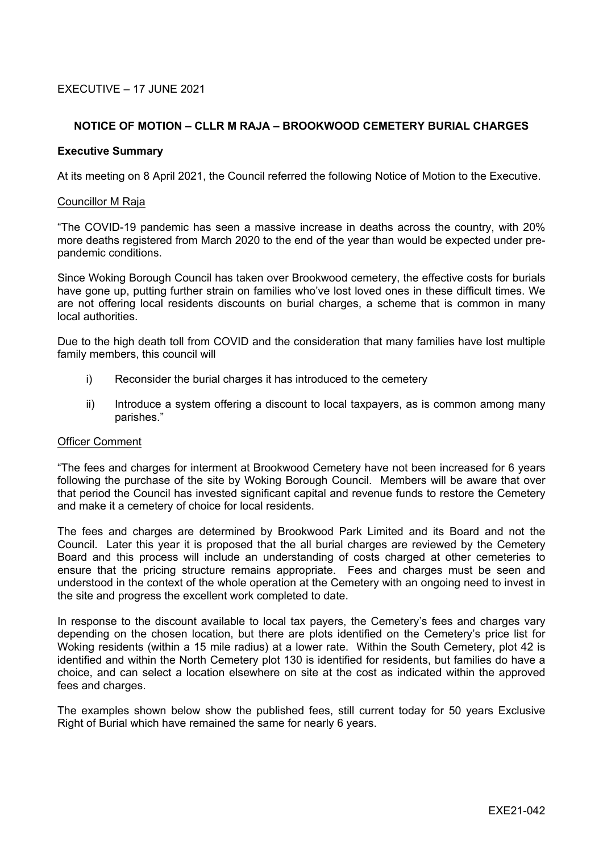# EXECUTIVE – 17 JUNE 2021

# **NOTICE OF MOTION – CLLR M RAJA – BROOKWOOD CEMETERY BURIAL CHARGES**

### **Executive Summary**

At its meeting on 8 April 2021, the Council referred the following Notice of Motion to the Executive.

#### Councillor M Raja

"The COVID-19 pandemic has seen a massive increase in deaths across the country, with 20% more deaths registered from March 2020 to the end of the year than would be expected under prepandemic conditions.

Since Woking Borough Council has taken over Brookwood cemetery, the effective costs for burials have gone up, putting further strain on families who've lost loved ones in these difficult times. We are not offering local residents discounts on burial charges, a scheme that is common in many local authorities.

Due to the high death toll from COVID and the consideration that many families have lost multiple family members, this council will

- i) Reconsider the burial charges it has introduced to the cemetery
- ii) Introduce a system offering a discount to local taxpayers, as is common among many parishes."

### Officer Comment

"The fees and charges for interment at Brookwood Cemetery have not been increased for 6 years following the purchase of the site by Woking Borough Council. Members will be aware that over that period the Council has invested significant capital and revenue funds to restore the Cemetery and make it a cemetery of choice for local residents.

The fees and charges are determined by Brookwood Park Limited and its Board and not the Council. Later this year it is proposed that the all burial charges are reviewed by the Cemetery Board and this process will include an understanding of costs charged at other cemeteries to ensure that the pricing structure remains appropriate. Fees and charges must be seen and understood in the context of the whole operation at the Cemetery with an ongoing need to invest in the site and progress the excellent work completed to date.

In response to the discount available to local tax payers, the Cemetery's fees and charges vary depending on the chosen location, but there are plots identified on the Cemetery's price list for Woking residents (within a 15 mile radius) at a lower rate. Within the South Cemetery, plot 42 is identified and within the North Cemetery plot 130 is identified for residents, but families do have a choice, and can select a location elsewhere on site at the cost as indicated within the approved fees and charges.

The examples shown below show the published fees, still current today for 50 years Exclusive Right of Burial which have remained the same for nearly 6 years.